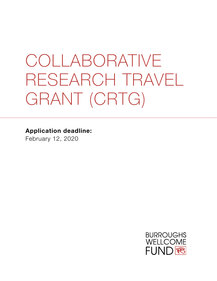# COLLABORATIVE RESEARCH TRAVEL GRANT (CRTG)

**Application deadline:**

February 12, 2020

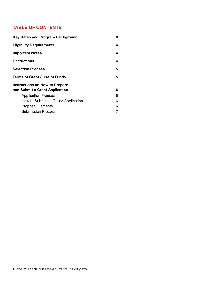#### **TABLE OF CONTENTS**

| <b>Key Dates and Program Background</b>                          | 3 |
|------------------------------------------------------------------|---|
| <b>Eligibility Requirements</b>                                  | 4 |
| <b>Important Notes</b>                                           | 4 |
| <b>Restrictions</b>                                              | 4 |
| <b>Selection Process</b>                                         | 5 |
| Terms of Grant / Use of Funds                                    | 5 |
| Instructions on How to Prepare<br>and Submit a Grant Application | 6 |
| <b>Application Process</b>                                       | 6 |
| How to Submit an Online Application                              | 6 |
| <b>Proposal Elements</b>                                         | 6 |
| Submission Process                                               |   |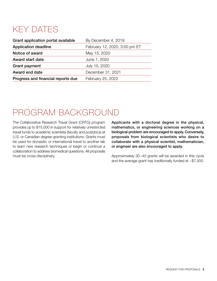# KEY DATES

| Grant application portal available | By December 4, 2019           |
|------------------------------------|-------------------------------|
| <b>Application deadline</b>        | February 12, 2020, 3:00 pm ET |
| Notice of award                    | May 15, 2020                  |
| <b>Award start date</b>            | June 1, 2020                  |
| <b>Grant payment</b>               | July 15, 2020                 |
| Award end date                     | December 31, 2021             |
| Progress and financial reports due | February 25, 2022             |

### PROGRAM BACKGROUND

The Collaborative Research Travel Grant (CRTG) program provides up to \$15,000 in support for relatively unrestricted travel funds to academic scientists (faculty and postdocs) at U.S. or Canadian degree-granting institutions. Grants must be used for domestic or international travel to another lab to learn new research techniques or begin or continue a collaboration to address biomedical questions. All proposals must be cross-disciplinary.

Applicants with a doctoral degree in the physical, mathematics, or engineering sciences working on a biological problem are encouraged to apply. Conversely, proposals from biological scientists who desire to collaborate with a physical scientist, mathematician, or engineer are also encouraged to apply.

Approximately 30–40 grants will be awarded in this cycle and the average grant has traditionally funded at ~\$7,500.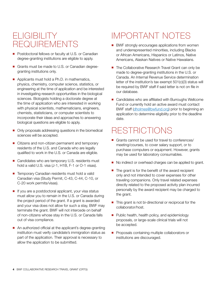### **ELIGIBILITY** REQUIREMENTS

- Postdoctoral fellows or faculty at U.S. or Canadian degree-granting institutions are eligible to apply.
- Grants must be made to U.S. or Canadian degreegranting institutions only.
- Applicants must hold a Ph.D. in mathematics, physics, chemistry, computer science, statistics, or engineering at the time of application and be interested in investigating research opportunities in the biological sciences. Biologists holding a doctorate degree at the time of application who are interested in working with physical scientists, mathematicians, engineers, chemists, statisticians, or computer scientists to incorporate their ideas and approaches to answering biological questions are eligible to apply.
- Only proposals addressing questions in the biomedical sciences will be accepted.
- Citizens and non-citizen permanent and temporary residents of the U.S. and Canada who are legally qualified to work in the U.S. or Canada are eligible.
- Candidates who are temporary U.S. residents must hold a valid U.S. visa (J-1, H1B, F-1 or O-1 visas).
- Temporary Canadian residents must hold a valid Canadian visa (Study Permit, C-43, C-44, C-10, or C-20 work permits/visas).
- $\blacksquare$  If you are a postdoctoral applicant, your visa status must allow you to remain in the U.S. or Canada during the project period of the grant. If a grant is awarded and your visa does not allow for such a stay, BWF may terminate the grant. BWF will not intercede on behalf of non-citizens whose stay in the U.S. or Canada falls out of visa compliance.
- An authorized official at the applicant's degree-granting institution must verify candidate's immigration status as part of the application. Their approval is necessary to allow the application to be submitted.

# IMPORTANT NOTES

- BWF strongly encourages applications from women and underrepresented minorities, including Blacks or African Americans, Hispanics or Latinos, Native Americans, Alaskan Natives or Native Hawaiians.
- The Collaborative Research Travel Grant can only be made to degree-granting institutions in the U.S. or Canada. An Internal Revenue Service determination letter of the institution's tax exempt 501(c)(3) status will be required by BWF staff if said letter is not on file in our database.
- Candidates who are affiliated with Burroughs Wellcome Fund or currently hold an active award must contact BWF staff [\(dholmes@bwfund.org](mailto:dholmes%40bwfund.org?subject=)) prior to beginning an application to determine eligibility prior to the deadline date.

### **RESTRICTIONS**

- Grants cannot be used for travel to conferences/ meeting/courses, to cover salary support, or to purchase computers or equipment. However, grants may be used for laboratory consumables.
- No indirect or overhead charges can be applied to grant.
- $\blacksquare$  The grant is for the benefit of the award recipient only and not intended to cover expenses for other traveling companions. Only travel related expenses directly related to the proposed activity plan incurred personally by the award recipient may be charged to the grant.
- This grant is not bi-directional or reciprocal for the collaborator/host.
- $\blacksquare$  Public health, health policy, and epidemiology proposals, or large-scale clinical trials will not be accepted.
- **Proposals containing multiple collaborators or** institutions are discouraged.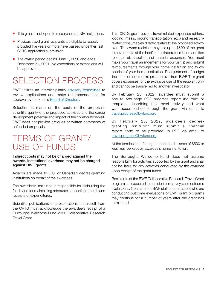- This grant is not open to researchers at NIH institutions.
- **Perious travel grant recipients are eligible to reapply** provided five years or more have passed since their last CRTG application submission.
- The award period begins June 1, 2020 and ends December 31, 2021. No exceptions or extensions will be approved.

### SELECTION PROCESS

BWF utilizes an interdisciplinary [advisory committee](https://www.bwfund.org/grant-programs/biomedical-sciences/collaborative-research-travel-grants/advisory-committee) to review applications and make recommendations for approval by the Fund's [Board of Directors.](http://www.bwfund.org/board-directors)

Selection is made on the basis of the proposal's scientific quality of the proposed activities and the career development potential and impact of the collaboration/visit. BWF does not provide critiques or written comments of unfunded proposals.

### TERMS OF GRANT/ USE OF FUNDS

Indirect costs may not be charged against the awards. Institutional overhead may not be charged against BWF grants.

Awards are made to U.S. or Canadian degree-granting institutions on behalf of the awardees.

The awardee's institution is responsible for disbursing the funds and for maintaining adequate supporting records and receipts of expenditures.

Scientific publications or presentations that result from the CRTG must acknowledge the awardee's receipt of a Burroughs Wellcome Fund 2020 Collaborative Research Travel Grant.

This CRTG grant covers travel-related expenses (airfare, lodging, meals, ground transportation, etc.) and researchrelated consumables directly related to the proposed activity plan. The award recipient may use up to \$500 of the grant to cover costs at the host's or collaborator's lab in addition to other lab supplies and material expenses. You must make your travel arrangements for your visit(s) and submit reimbursements through your home institution and follow policies of your home institution. Readjustment of budget line items do not require pre-approval from BWF. This grant covers expenses for the exclusive use of the recipient only and cannot be transferred to another investigator.

By February 25, 2022, awardee must submit a one to two-page PDF progress report (no form or template) describing the travel activity and what was accomplished through the grant via email to [travel.progress@bwfund.org.](mailto:travel.progress%40bwfund.org?subject=)

By February 25, 2022, awardee's degreegranting institution must submit a financial report (form to be provided) in PDF via email to [travel.progress@bwfund.org.](mailto:travel.progress%40bwfund.org?subject=)

At the termination of the grant period, a balance of \$500 or less may be kept by awardee's home institution.

The Burroughs Wellcome Fund does not assume responsibility for activities supported by the grant and shall not be liable for any activities conducted by the awardee upon receipt of the grant funds.

Recipients of the BWF Collaborative Research Travel Grant program are expected to participate in surveys and outcome evaluations. Contact from BWF staff or contractors who are conducting outcome evaluations of BWF grant programs may continue for a number of years after the grant has terminated.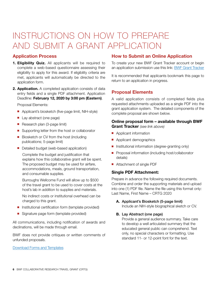# INSTRUCTIONS ON HOW TO PREPARE AND SUBMIT A GRANT APPLICATION

#### **Application Process**

- **1. Eligibility Quiz.** All applicants will be required to complete a web-based questionnaire assessing their eligibility to apply for this award. If eligibility criteria are met, applicants will automatically be directed to the application form.
- **2. Application.** A completed application consists of data entry fields and a single PDF attachment. Application Deadline: **February 12, 2020 by 3:00 pm (Eastern)**.

Proposal Elements:

- Applicant's biosketch (five-page limit, NIH-style)
- $\blacksquare$  Lay abstract (one page)
- $\blacksquare$  Research plan (3-page limit)
- Supporting letter from the host or collaborator
- Biosketch or CV from the host (including publications; 5-page limit)
- Detailed budget (web-based application)

Complete the budget and justification that explains how this collaborative grant will be spent. The proposed budget may be used for airfare, accommodations, meals, ground transportation, and consumable supplies.

Burroughs Wellcome Fund will allow up to \$500 of the travel grant to be used to cover costs at the host's lab in addition to supplies and materials.

No indirect costs or institutional overhead can be charged to this grant.

- $\blacksquare$  Institutional certification form (template provided)
- Signature page form (template provided)

All communications, including notification of awards and declinations, will be made through email.

BWF does not provide critiques or written comments of unfunded proposals.

[Download Forms and Templates](https://www.bwfund.org/grant-programs/biomedical-sciences/collaborative-research-travel-grants-2)

#### **How to Submit an Online Application**

To create your new BWF Grant Tracker account or begin an application submission use this link: [BWF Grant Tracker](https://bwfund.ccgranttracker.com)

It is recommended that applicants bookmark this page to return to an application in progress.

#### **Proposal Elements**

A valid application consists of completed fields plus requested attachments uploaded as a single PDF into the grant application system. The detailed components of the complete proposal are shown below.

#### **Online proposal form – available through BWF Grant Tracker** *(see link above)*

- **n** Applicant information
- **n** Applicant demographics
- n Institutional information (degree-granting only)
- Proposal information (including host/collaborator details)
- Attachment of single PDF

#### **Single PDF Attachment:**

Prepare in advance the following required documents. Combine and order the supporting materials and upload into one (1) PDF file. Name the file using this format only: Last Name, First Name – CRTG 2020

#### **A.** Applicant's Biosketch (5-page limit)

Include an NIH-style biographical sketch or CV.

#### **B.** Lay Abstract (one page)

Provide a general audience summary. Take care to develop a well articulated summary that the educated general public can comprehend. Text only, no special characters or formatting. Use standard 11- or 12-point font for the text.